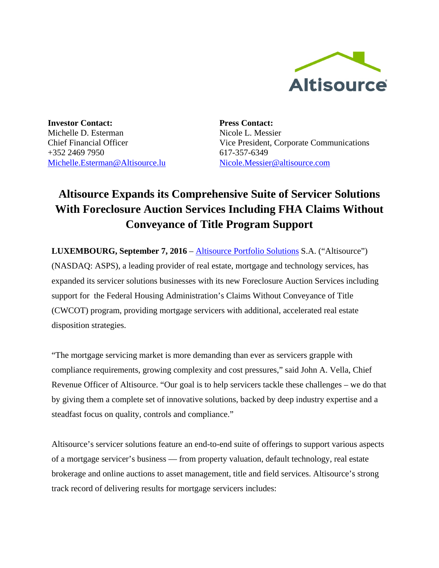

**Investor Contact:** Michelle D. Esterman Chief Financial Officer +352 2469 7950 [Michelle.Esterman@Altisource.lu](mailto:Michelle.Esterman@Altisource.lu) **Press Contact:** Nicole L. Messier Vice President, Corporate Communications 617-357-6349 [Nicole.Messier@altisource.com](mailto:Nicole.Messier@altisource.com) 

## **Altisource Expands its Comprehensive Suite of Servicer Solutions With Foreclosure Auction Services Including FHA Claims Without Conveyance of Title Program Support**

**LUXEMBOURG, September 7, 2016** – Altisource [Portfolio Solutions](http://www.altisource.com/?utm_campaign=ServicerMomentumFiveStar&utm_source=PR&utm_medium=PR&utm_content=first) S.A. ("Altisource") (NASDAQ: ASPS), a leading provider of real estate, mortgage and technology services, has expanded its servicer solutions businesses with its new Foreclosure Auction Services including support for the Federal Housing Administration's Claims Without Conveyance of Title (CWCOT) program, providing mortgage servicers with additional, accelerated real estate disposition strategies.

"The mortgage servicing market is more demanding than ever as servicers grapple with compliance requirements, growing complexity and cost pressures," said John A. Vella, Chief Revenue Officer of Altisource. "Our goal is to help servicers tackle these challenges – we do that by giving them a complete set of innovative solutions, backed by deep industry expertise and a steadfast focus on quality, controls and compliance."

Altisource's servicer solutions feature an end-to-end suite of offerings to support various aspects of a mortgage servicer's business — from property valuation, default technology, real estate brokerage and online auctions to asset management, title and field services. Altisource's strong track record of delivering results for mortgage servicers includes: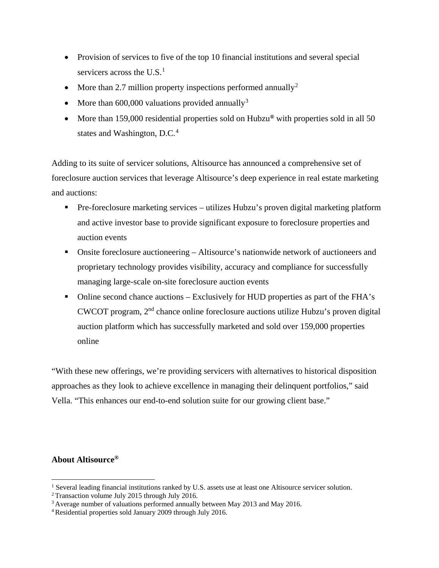- Provision of services to five of the top 10 financial institutions and several special servicers across the  $U.S.<sup>1</sup>$  $U.S.<sup>1</sup>$  $U.S.<sup>1</sup>$
- More than [2](#page-1-1).7 million property inspections performed annually<sup>2</sup>
- More than 600,000 valuations provided annually<sup>[3](#page-1-2)</sup>
- More than 159,000 residential properties sold on Hubzu<sup>®</sup> with properties sold in all 50 states and Washington,  $D.C.<sup>4</sup>$  $D.C.<sup>4</sup>$  $D.C.<sup>4</sup>$

Adding to its suite of servicer solutions, Altisource has announced a comprehensive set of foreclosure auction services that leverage Altisource's deep experience in real estate marketing and auctions:

- Pre-foreclosure marketing services utilizes Hubzu's proven digital marketing platform and active investor base to provide significant exposure to foreclosure properties and auction events
- Onsite foreclosure auctioneering Altisource's nationwide network of auctioneers and proprietary technology provides visibility, accuracy and compliance for successfully managing large-scale on-site foreclosure auction events
- Online second chance auctions Exclusively for HUD properties as part of the FHA's CWCOT program, 2nd chance online foreclosure auctions utilize Hubzu's proven digital auction platform which has successfully marketed and sold over 159,000 properties online

"With these new offerings, we're providing servicers with alternatives to historical disposition approaches as they look to achieve excellence in managing their delinquent portfolios," said Vella. "This enhances our end-to-end solution suite for our growing client base."

## **About Altisource®**

 $\overline{\phantom{a}}$ 

<span id="page-1-0"></span><sup>&</sup>lt;sup>1</sup> Several leading financial institutions ranked by U.S. assets use at least one Altisource servicer solution.

<span id="page-1-1"></span><sup>2</sup> Transaction volume July 2015 through July 2016.

<span id="page-1-2"></span> $3$  Average number of valuations performed annually between May 2013 and May 2016.<br> $4$  Residential properties sold January 2009 through July 2016.

<span id="page-1-3"></span>